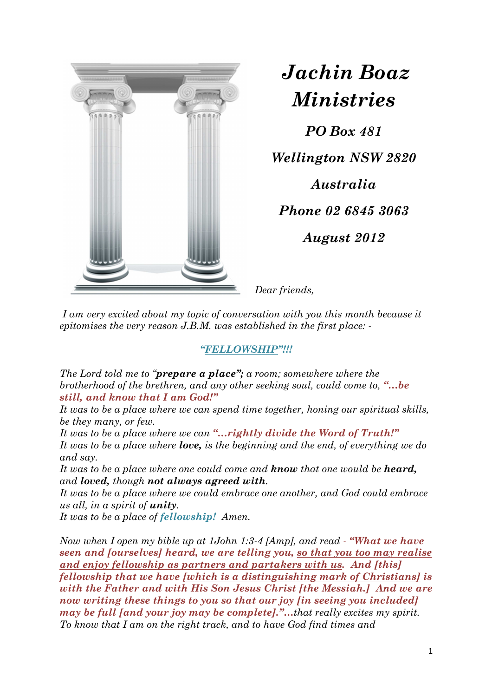

*Jachin Boaz Ministries* 

*PO Box 481 Wellington NSW 2820 Australia Phone 02 6845 3063* 

*August 2012* 

*Dear friends,* 

 *I am very excited about my topic of conversation with you this month because it epitomises the very reason J.B.M. was established in the first place: -* 

## *"FELLOWSHIP"!!!*

*The Lord told me to "prepare a place"; a room; somewhere where the brotherhood of the brethren, and any other seeking soul, could come to, "…be still, and know that I am God!"* 

*It was to be a place where we can spend time together, honing our spiritual skills, be they many, or few.* 

*It was to be a place where we can "…rightly divide the Word of Truth!" It was to be a place where love, is the beginning and the end, of everything we do and say.* 

*It was to be a place where one could come and know that one would be heard, and loved, though not always agreed with.* 

*It was to be a place where we could embrace one another, and God could embrace us all, in a spirit of unity.* 

*It was to be a place of fellowship! Amen.* 

*Now when I open my bible up at 1John 1:3-4 [Amp], and read - "What we have seen and [ourselves] heard, we are telling you, so that you too may realise and enjoy fellowship as partners and partakers with us. And [this] fellowship that we have [which is a distinguishing mark of Christians] is with the Father and with His Son Jesus Christ [the Messiah.] And we are now writing these things to you so that our joy [in seeing you included] may be full [and your joy may be complete]."…that really excites my spirit. To know that I am on the right track, and to have God find times and*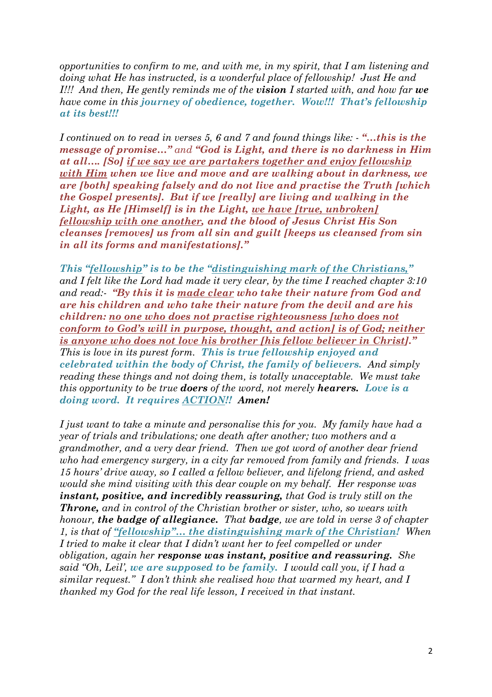*opportunities to confirm to me, and with me, in my spirit, that I am listening and doing what He has instructed, is a wonderful place of fellowship! Just He and I!!! And then, He gently reminds me of the vision I started with, and how far we have come in this journey of obedience, together. Wow!!! That's fellowship at its best!!!*

*I continued on to read in verses 5, 6 and 7 and found things like: - "…this is the message of promise…" and "God is Light, and there is no darkness in Him at all…. [So] if we say we are partakers together and enjoy fellowship with Him when we live and move and are walking about in darkness, we are [both] speaking falsely and do not live and practise the Truth [which the Gospel presents]. But if we [really] are living and walking in the Light, as He [Himself] is in the Light, we have [true, unbroken] fellowship with one another, and the blood of Jesus Christ His Son cleanses [removes] us from all sin and guilt [keeps us cleansed from sin in all its forms and manifestations]."* 

*This "fellowship" is to be the "distinguishing mark of the Christians," and I felt like the Lord had made it very clear, by the time I reached chapter 3:10 and read:- "By this it is made clear who take their nature from God and are his children and who take their nature from the devil and are his children: no one who does not practise righteousness [who does not conform to God's will in purpose, thought, and action] is of God; neither is anyone who does not love his brother [his fellow believer in Christ]." This is love in its purest form. This is true fellowship enjoyed and celebrated within the body of Christ, the family of believers. And simply reading these things and not doing them, is totally unacceptable. We must take this opportunity to be true doers of the word, not merely hearers. Love is a doing word. It requires ACTION!! Amen!*

*I just want to take a minute and personalise this for you. My family have had a year of trials and tribulations; one death after another; two mothers and a grandmother, and a very dear friend. Then we got word of another dear friend who had emergency surgery, in a city far removed from family and friends. I was 15 hours' drive away, so I called a fellow believer, and lifelong friend, and asked would she mind visiting with this dear couple on my behalf. Her response was instant, positive, and incredibly reassuring, that God is truly still on the Throne, and in control of the Christian brother or sister, who, so wears with honour, the badge of allegiance. That badge, we are told in verse 3 of chapter 1, is that of "fellowship"… the distinguishing mark of the Christian! When I tried to make it clear that I didn't want her to feel compelled or under obligation, again her response was instant, positive and reassuring. She said "Oh, Leil', we are supposed to be family. I would call you, if I had a similar request." I don't think she realised how that warmed my heart, and I thanked my God for the real life lesson, I received in that instant.*